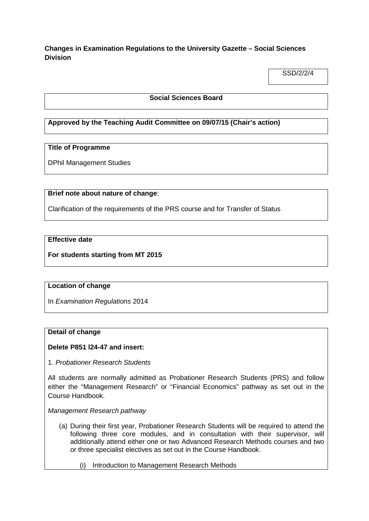# **Changes in Examination Regulations to the University Gazette – Social Sciences Division**

SSD/2/2/4

## **Social Sciences Board**

# **Approved by the Teaching Audit Committee on 09/07/15 (Chair's action)**

#### **Title of Programme**

DPhil Management Studies

## **Brief note about nature of change**:

Clarification of the requirements of the PRS course and for Transfer of Status

# **Effective date**

**For students starting from MT 2015**

#### **Location of change**

In *Examination Regulations* 2014

#### **Detail of change**

#### **Delete P851 l24-47 and insert:**

1. *Probationer Research Students*

All students are normally admitted as Probationer Research Students (PRS) and follow either the "Management Research" or "Financial Economics" pathway as set out in the Course Handbook.

*Management Research pathway*

- (a) During their first year, Probationer Research Students will be required to attend the following three core modules, and in consultation with their supervisor, will additionally attend either one or two Advanced Research Methods courses and two or three specialist electives as set out in the Course Handbook.
	- (i) Introduction to Management Research Methods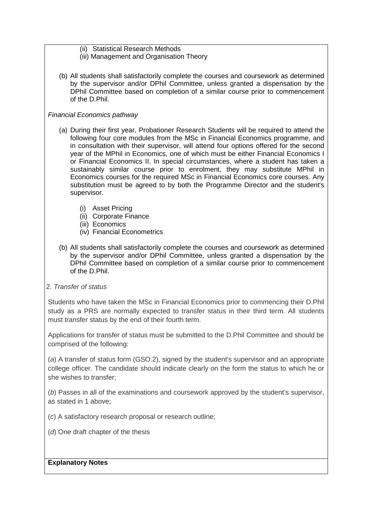- (ii) Statistical Research Methods
- (iii) Management and Organisation Theory
- (b) All students shall satisfactorily complete the courses and coursework as determined by the supervisor and/or DPhil Committee, unless granted a dispensation by the DPhil Committee based on completion of a similar course prior to commencement of the D.Phil.

## *Financial Economics pathway*

- (a) During their first year, Probationer Research Students will be required to attend the following four core modules from the MSc in Financial Economics programme, and in consultation with their supervisor, will attend four options offered for the second year of the MPhil in Economics, one of which must be either Financial Economics I or Financial Economics II. In special circumstances, where a student has taken a sustainably similar course prior to enrolment, they may substitute MPhil in Economics courses for the required MSc in Financial Economics core courses. Any substitution must be agreed to by both the Programme Director and the student's supervisor.
	- (i) Asset Pricing
	- (ii) Corporate Finance
	- (iii) Economics
	- (iv) Financial Econometrics
- (b) All students shall satisfactorily complete the courses and coursework as determined by the supervisor and/or DPhil Committee, unless granted a dispensation by the DPhil Committee based on completion of a similar course prior to commencement of the D.Phil.
- 2. *Transfer of status*

Students who have taken the MSc in Financial Economics prior to commencing their D.Phil study as a PRS are normally expected to transfer status in their third term. All students must transfer status by the end of their fourth term.

Applications for transfer of status must be submitted to the D.Phil Committee and should be comprised of the following:

(*a*) A transfer of status form (GSO.2), signed by the student's supervisor and an appropriate college officer. The candidate should indicate clearly on the form the status to which he or she wishes to transfer;

(*b*) Passes in all of the examinations and coursework approved by the student's supervisor, as stated in 1 above;

- (*c*) A satisfactory research proposal or research outline;
- (*d*) One draft chapter of the thesis

#### **Explanatory Notes**